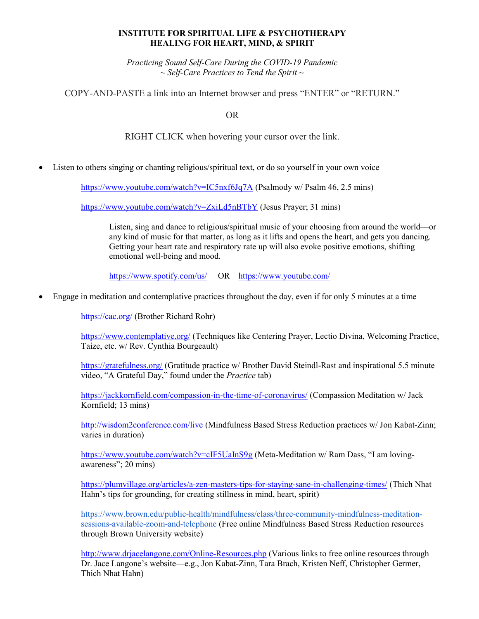## INSTITUTE FOR SPIRITUAL LIFE & PSYCHOTHERAPY HEALING FOR HEART, MIND, & SPIRIT

Practicing Sound Self-Care During the COVID-19 Pandemic  $\sim$  Self-Care Practices to Tend the Spirit  $\sim$ 

COPY-AND-PASTE a link into an Internet browser and press "ENTER" or "RETURN."

OR

RIGHT CLICK when hovering your cursor over the link.

Listen to others singing or chanting religious/spiritual text, or do so yourself in your own voice

https://www.youtube.com/watch?v=IC5nxf6Jq7A (Psalmody w/ Psalm 46, 2.5 mins)

https://www.youtube.com/watch?v=ZxiLd5nBTbY (Jesus Prayer; 31 mins)

Listen, sing and dance to religious/spiritual music of your choosing from around the world—or any kind of music for that matter, as long as it lifts and opens the heart, and gets you dancing. Getting your heart rate and respiratory rate up will also evoke positive emotions, shifting emotional well-being and mood.

https://www.spotify.com/us/ OR https://www.youtube.com/

Engage in meditation and contemplative practices throughout the day, even if for only 5 minutes at a time

https://cac.org/ (Brother Richard Rohr)

https://www.contemplative.org/ (Techniques like Centering Prayer, Lectio Divina, Welcoming Practice, Taize, etc. w/ Rev. Cynthia Bourgeault)

https://gratefulness.org/ (Gratitude practice w/ Brother David Steindl-Rast and inspirational 5.5 minute video, "A Grateful Day," found under the Practice tab)

https://jackkornfield.com/compassion-in-the-time-of-coronavirus/ (Compassion Meditation w/ Jack Kornfield; 13 mins)

http://wisdom2conference.com/live (Mindfulness Based Stress Reduction practices w/ Jon Kabat-Zinn; varies in duration)

https://www.youtube.com/watch?v=cIF5UaInS9g (Meta-Meditation w/ Ram Dass, "I am lovingawareness"; 20 mins)

https://plumvillage.org/articles/a-zen-masters-tips-for-staying-sane-in-challenging-times/ (Thich Nhat Hahn's tips for grounding, for creating stillness in mind, heart, spirit)

https://www.brown.edu/public-health/mindfulness/class/three-community-mindfulness-meditationsessions-available-zoom-and-telephone (Free online Mindfulness Based Stress Reduction resources through Brown University website)

http://www.drjacelangone.com/Online-Resources.php (Various links to free online resources through Dr. Jace Langone's website—e.g., Jon Kabat-Zinn, Tara Brach, Kristen Neff, Christopher Germer, Thich Nhat Hahn)